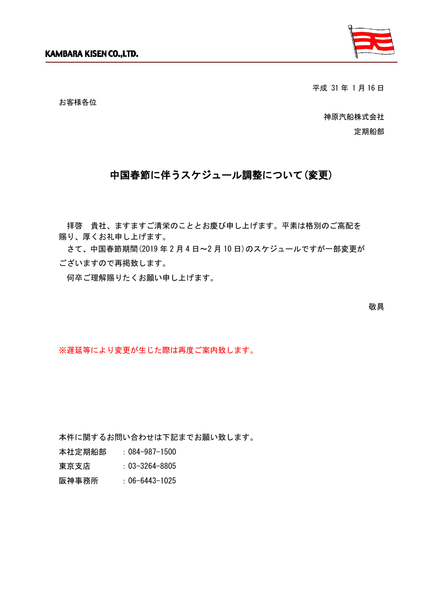

平成 31 年 1 月 16 日

お客様各位

神原汽船株式会社 定期船部

## 中国春節に伴うスケジュール調整について(変更)

拝啓 貴社、ますますご清栄のこととお慶び申し上げます。平素は格別のご高配を 賜り、厚くお礼申し上げます。

さて、中国春節期間(2019 年 2 月 4 日~2 月 10 日)のスケジュールですが一部変更が ございますので再掲致します。

何卒ご理解賜りたくお願い申し上げます。

敬具

※遅延等により変更が生じた際は再度ご案内致します。

本件に関するお問い合わせは下記までお願い致します。

本社定期船部 :084-987-1500

東京支店 : 03-3264-8805

阪神事務所 :06-6443-1025